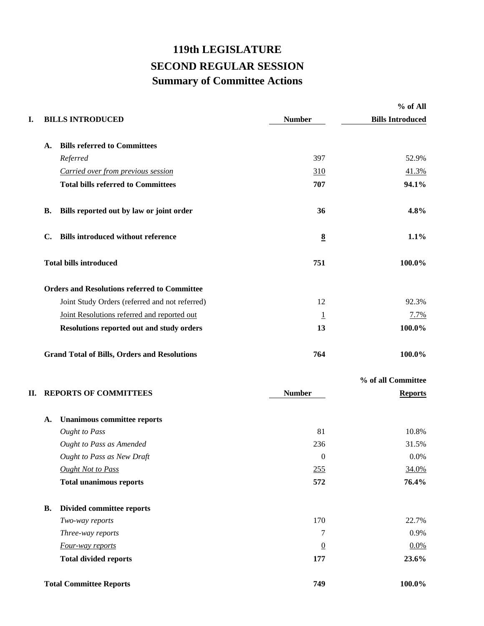## **119th LEGISLATURE SECOND REGULAR SESSION Summary of Committee Actions**

|    |                |                                                     |                  | % of All                |
|----|----------------|-----------------------------------------------------|------------------|-------------------------|
| I. |                | <b>BILLS INTRODUCED</b>                             | <b>Number</b>    | <b>Bills Introduced</b> |
|    | A.             | <b>Bills referred to Committees</b>                 |                  |                         |
|    |                | Referred                                            | 397              | 52.9%                   |
|    |                | Carried over from previous session                  | <u>310</u>       | 41.3%                   |
|    |                | <b>Total bills referred to Committees</b>           | 707              | 94.1%                   |
|    | <b>B.</b>      | Bills reported out by law or joint order            | 36               | 4.8%                    |
|    | $\mathbf{C}$ . | <b>Bills introduced without reference</b>           | $\underline{8}$  | 1.1%                    |
|    |                | <b>Total bills introduced</b>                       | 751              | 100.0%                  |
|    |                | <b>Orders and Resolutions referred to Committee</b> |                  |                         |
|    |                | Joint Study Orders (referred and not referred)      | 12               | 92.3%                   |
|    |                | Joint Resolutions referred and reported out         | $\overline{1}$   | 7.7%                    |
|    |                | Resolutions reported out and study orders           | 13               | 100.0%                  |
|    |                | <b>Grand Total of Bills, Orders and Resolutions</b> | 764              | 100.0%                  |
|    |                |                                                     |                  | % of all Committee      |
| П. |                | <b>REPORTS OF COMMITTEES</b>                        | <b>Number</b>    | <b>Reports</b>          |
|    | A.             | <b>Unanimous committee reports</b>                  |                  |                         |
|    |                | <b>Ought to Pass</b>                                | 81               | 10.8%                   |
|    |                | <b>Ought to Pass as Amended</b>                     | 236              | 31.5%                   |
|    |                | Ought to Pass as New Draft                          | $\boldsymbol{0}$ | 0.0%                    |
|    |                | <b>Ought Not to Pass</b>                            | 255              | 34.0%                   |
|    |                | <b>Total unanimous reports</b>                      | 572              | 76.4%                   |
|    | В.             | Divided committee reports                           |                  |                         |
|    |                | Two-way reports                                     | 170              | 22.7%                   |
|    |                | Three-way reports                                   | 7                | 0.9%                    |
|    |                | Four-way reports                                    | $\underline{0}$  | 0.0%                    |
|    |                | <b>Total divided reports</b>                        | 177              | 23.6%                   |
|    |                | <b>Total Committee Reports</b>                      | 749              | 100.0%                  |